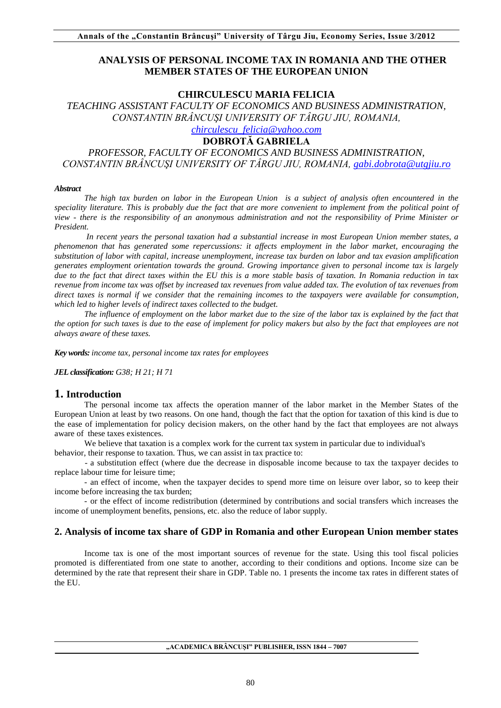## **ANALYSIS OF PERSONAL INCOME TAX IN ROMANIA AND THE OTHER MEMBER STATES OF THE EUROPEAN UNION**

### **CHIRCULESCU MARIA FELICIA**

*TEACHING ASSISTANT FACULTY OF ECONOMICS AND BUSINESS ADMINISTRATION, CONSTANTIN BRÂNCUŞI UNIVERSITY OF TÂRGU JIU, ROMANIA, [chirculescu\\_felicia@yahoo.com](mailto:chirculescu_felicia@yahoo.com)*

## **DOBROTĂ GABRIELA**

*PROFESSOR, FACULTY OF ECONOMICS AND BUSINESS ADMINISTRATION, CONSTANTIN BRÂNCUŞI UNIVERSITY OF TÂRGU JIU, ROMANIA, [gabi.dobrota@utgjiu.ro](mailto:gabi.dobrota@utgjiu.ro)*

#### *Abstract*

*The high tax burden on labor in the European Union is a subject of analysis often encountered in the speciality literature. This is probably due the fact that are more convenient to implement from the political point of view - there is the responsibility of an anonymous administration and not the responsibility of Prime Minister or President.*

*In recent years the personal taxation had a substantial increase in most European Union member states, a phenomenon that has generated some repercussions: it affects employment in the labor market, encouraging the substitution of labor with capital, increase unemployment, increase tax burden on labor and tax evasion amplification generates employment orientation towards the ground. Growing importance given to personal income tax is largely due to the fact that direct taxes within the EU this is a more stable basis of taxation. In Romania reduction in tax revenue from income tax was offset by increased tax revenues from value added tax. The evolution of tax revenues from direct taxes is normal if we consider that the remaining incomes to the taxpayers were available for consumption, which led to higher levels of indirect taxes collected to the budget.*

*The influence of employment on the labor market due to the size of the labor tax is explained by the fact that the option for such taxes is due to the ease of implement for policy makers but also by the fact that employees are not always aware of these taxes.*

*Key words: income tax, personal income tax rates for employees*

*JEL classification: G38; H 21; H 71*

#### **1. Introduction**

The personal income tax affects the operation manner of the labor market in the Member States of the European Union at least by two reasons. On one hand, though the fact that the option for taxation of this kind is due to the ease of implementation for policy decision makers, on the other hand by the fact that employees are not always aware of these taxes existences.

We believe that taxation is a complex work for the current tax system in particular due to individual's

behavior, their response to taxation. Thus, we can assist in tax practice to:

- a substitution effect (where due the decrease in disposable income because to tax the taxpayer decides to replace labour time for leisure time;

- an effect of income, when the taxpayer decides to spend more time on leisure over labor, so to keep their income before increasing the tax burden;

- or the effect of income redistribution (determined by contributions and social transfers which increases the income of unemployment benefits, pensions, etc. also the reduce of labor supply.

### **2. Analysis of income tax share of GDP in Romania and other European Union member states**

Income tax is one of the most important sources of revenue for the state. Using this tool fiscal policies promoted is differentiated from one state to another, according to their conditions and options. Income size can be determined by the rate that represent their share in GDP. Table no. 1 presents the income tax rates in different states of the EU.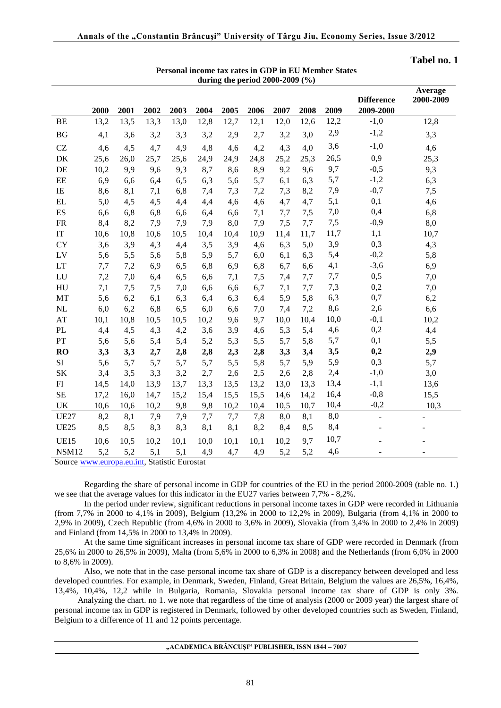| during the period $2000-2009$ (%) |      |      |      |      |      |      |      |      |      |      |                   |                      |
|-----------------------------------|------|------|------|------|------|------|------|------|------|------|-------------------|----------------------|
|                                   |      |      |      |      |      |      |      |      |      |      | <b>Difference</b> | Average<br>2000-2009 |
|                                   | 2000 | 2001 | 2002 | 2003 | 2004 | 2005 | 2006 | 2007 | 2008 | 2009 | 2009-2000         |                      |
| <b>BE</b>                         | 13,2 | 13,5 | 13,3 | 13,0 | 12,8 | 12,7 | 12,1 | 12,0 | 12,6 | 12,2 | $-1,0$            | 12,8                 |
| BG                                | 4,1  | 3,6  | 3,2  | 3,3  | 3,2  | 2,9  | 2,7  | 3,2  | 3,0  | 2,9  | $-1,2$            | 3,3                  |
| CZ                                | 4,6  | 4,5  | 4,7  | 4,9  | 4,8  | 4,6  | 4,2  | 4,3  | 4,0  | 3,6  | $-1,0$            | 4,6                  |
| DK                                | 25,6 | 26,0 | 25,7 | 25,6 | 24,9 | 24,9 | 24,8 | 25,2 | 25,3 | 26,5 | 0,9               | 25,3                 |
| DE                                | 10,2 | 9,9  | 9,6  | 9,3  | 8,7  | 8,6  | 8,9  | 9,2  | 9,6  | 9,7  | $-0,5$            | 9,3                  |
| EE                                | 6,9  | 6,6  | 6,4  | 6,5  | 6,3  | 5,6  | 5,7  | 6,1  | 6,3  | 5,7  | $-1,2$            | 6,3                  |
| $\rm IE$                          | 8,6  | 8,1  | 7,1  | 6,8  | 7,4  | 7,3  | 7,2  | 7,3  | 8,2  | 7,9  | $-0,7$            | 7,5                  |
| EL                                | 5,0  | 4,5  | 4,5  | 4,4  | 4,4  | 4,6  | 4,6  | 4,7  | 4,7  | 5,1  | 0,1               | 4,6                  |
| ES                                | 6,6  | 6,8  | 6,8  | 6,6  | 6,4  | 6,6  | 7,1  | 7,7  | 7,5  | 7,0  | 0,4               | 6,8                  |
| <b>FR</b>                         | 8,4  | 8,2  | 7,9  | 7,9  | 7,9  | 8,0  | 7,9  | 7,5  | 7,7  | 7,5  | $-0,9$            | 8,0                  |
| $\ensuremath{\mathsf{IT}}$        | 10,6 | 10,8 | 10,6 | 10,5 | 10,4 | 10,4 | 10,9 | 11,4 | 11,7 | 11,7 | 1,1               | 10,7                 |
| <b>CY</b>                         | 3,6  | 3,9  | 4,3  | 4,4  | 3,5  | 3,9  | 4,6  | 6,3  | 5,0  | 3,9  | 0,3               | 4,3                  |
| LV                                | 5,6  | 5,5  | 5,6  | 5,8  | 5,9  | 5,7  | 6,0  | 6,1  | 6,3  | 5,4  | $-0,2$            | 5,8                  |
| LT                                | 7,7  | 7,2  | 6,9  | 6,5  | 6,8  | 6,9  | 6,8  | 6,7  | 6,6  | 4,1  | $-3,6$            | 6,9                  |
| LU                                | 7,2  | 7,0  | 6,4  | 6,5  | 6,6  | 7,1  | 7,5  | 7,4  | 7,7  | 7,7  | 0,5               | 7,0                  |
| HU                                | 7,1  | 7,5  | 7,5  | 7,0  | 6,6  | 6,6  | 6,7  | 7,1  | 7,7  | 7,3  | 0,2               | 7,0                  |
| MT                                | 5,6  | 6,2  | 6,1  | 6,3  | 6,4  | 6,3  | 6,4  | 5,9  | 5,8  | 6,3  | 0,7               | 6,2                  |
| $\rm NL$                          | 6,0  | 6,2  | 6,8  | 6,5  | 6,0  | 6,6  | 7,0  | 7,4  | 7,2  | 8,6  | 2,6               | 6,6                  |
| AT                                | 10,1 | 10,8 | 10,5 | 10,5 | 10,2 | 9,6  | 9,7  | 10,0 | 10,4 | 10,0 | $-0,1$            | 10,2                 |
| PL                                | 4,4  | 4,5  | 4,3  | 4,2  | 3,6  | 3,9  | 4,6  | 5,3  | 5,4  | 4,6  | 0,2               | 4,4                  |
| PT                                | 5,6  | 5,6  | 5,4  | 5,4  | 5,2  | 5,3  | 5,5  | 5,7  | 5,8  | 5,7  | 0,1               | 5,5                  |
| <b>RO</b>                         | 3,3  | 3,3  | 2,7  | 2,8  | 2,8  | 2,3  | 2,8  | 3,3  | 3,4  | 3,5  | 0,2               | 2,9                  |
| SI                                | 5,6  | 5,7  | 5,7  | 5,7  | 5,7  | 5,5  | 5,8  | 5,7  | 5,9  | 5,9  | 0,3               | 5,7                  |
| <b>SK</b>                         | 3,4  | 3,5  | 3,3  | 3,2  | 2,7  | 2,6  | 2,5  | 2,6  | 2,8  | 2,4  | $-1,0$            | 3,0                  |
| ${\rm FI}$                        | 14,5 | 14,0 | 13,9 | 13,7 | 13,3 | 13,5 | 13,2 | 13,0 | 13,3 | 13,4 | $-1,1$            | 13,6                 |
| <b>SE</b>                         | 17,2 | 16,0 | 14,7 | 15,2 | 15,4 | 15,5 | 15,5 | 14,6 | 14,2 | 16,4 | $-0,8$            | 15,5                 |
| UK                                | 10,6 | 10,6 | 10,2 | 9,8  | 9,8  | 10,2 | 10,4 | 10,5 | 10,7 | 10,4 | $-0,2$            | 10,3                 |
| <b>UE27</b>                       | 8,2  | 8,1  | 7,9  | 7,9  | 7,7  | 7,7  | 7,8  | 8,0  | 8,1  | 8,0  | $\overline{a}$    |                      |
| <b>UE25</b>                       | 8,5  | 8,5  | 8,3  | 8,3  | 8,1  | 8,1  | 8,2  | 8,4  | 8,5  | 8,4  |                   |                      |
| <b>UE15</b>                       | 10,6 | 10,5 | 10,2 | 10,1 | 10,0 | 10,1 | 10,1 | 10,2 | 9,7  | 10,7 |                   |                      |
| NSM12                             | 5,2  | 5,2  | 5,1  | 5,1  | 4,9  | 4,7  | 4,9  | 5,2  | 5,2  | 4,6  | Ξ                 |                      |

# **Personal income tax rates in GDP in EU Member States**

**Tabel no. 1**

Source [www.europa.eu.int,](http://www.europa.eu.int/) Statistic Eurostat

Regarding the share of personal income in GDP for countries of the EU in the period 2000-2009 (table no. 1.) we see that the average values for this indicator in the EU27 varies between 7,7% - 8,2%.

In the period under review, significant reductions in personal income taxes in GDP were recorded in Lithuania (from 7,7% in 2000 to 4,1% in 2009), Belgium (13,2% in 2000 to 12,2% in 2009), Bulgaria (from 4,1% in 2000 to 2,9% in 2009), Czech Republic (from 4,6% in 2000 to 3,6% in 2009), Slovakia (from 3,4% in 2000 to 2,4% in 2009) and Finland (from 14,5% in 2000 to 13,4% in 2009).

At the same time significant increases in personal income tax share of GDP were recorded in Denmark (from 25,6% in 2000 to 26,5% in 2009), Malta (from 5,6% in 2000 to 6,3% in 2008) and the Netherlands (from 6,0% in 2000 to 8,6% in 2009).

Also, we note that in the case personal income tax share of GDP is a discrepancy between developed and less developed countries. For example, in Denmark, Sweden, Finland, Great Britain, Belgium the values are 26,5%, 16,4%, 13,4%, 10,4%, 12,2 while in Bulgaria, Romania, Slovakia personal income tax share of GDP is only 3%.

 Analyzing the chart. no 1. we note that regardless of the time of analysis (2000 or 2009 year) the largest share of personal income tax in GDP is registered in Denmark, followed by other developed countries such as Sweden, Finland, Belgium to a difference of 11 and 12 points percentage.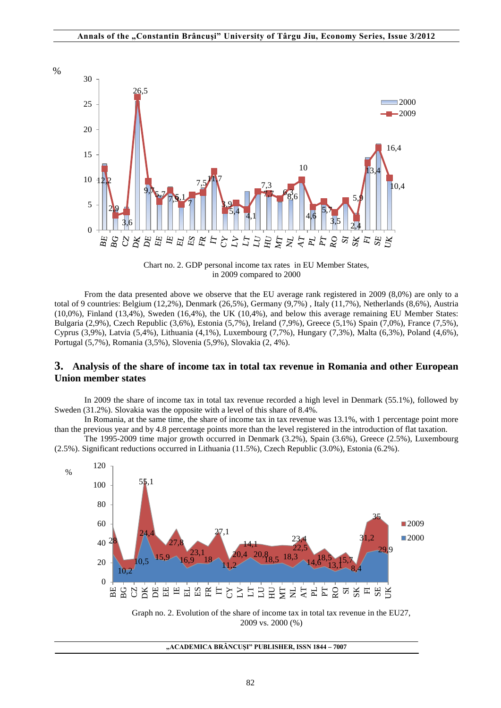



From the data presented above we observe that the EU average rank registered in 2009 (8,0%) are only to a total of 9 countries: Belgium (12,2%), Denmark (26,5%), Germany (9,7%) , Italy (11,7%), Netherlands (8,6%), Austria (10,0%), Finland (13,4%), Sweden (16,4%), the UK (10,4%), and below this average remaining EU Member States: Bulgaria (2,9%), Czech Republic (3,6%), Estonia (5,7%), Ireland (7,9%), Greece (5,1%) Spain (7,0%), France (7,5%), Cyprus (3,9%), Latvia (5,4%), Lithuania (4,1%), Luxembourg (7,7%), Hungary (7,3%), Malta (6,3%), Poland (4,6%), Portugal (5,7%), Romania (3,5%), Slovenia (5,9%), Slovakia (2, 4%).

## **3. Analysis of the share of income tax in total tax revenue in Romania and other European Union member states**

In 2009 the share of income tax in total tax revenue recorded a high level in Denmark (55.1%), followed by Sweden (31.2%). Slovakia was the opposite with a level of this share of 8.4%.

In Romania, at the same time, the share of income tax in tax revenue was 13.1%, with 1 percentage point more than the previous year and by 4.8 percentage points more than the level registered in the introduction of flat taxation.

The 1995-2009 time major growth occurred in Denmark (3.2%), Spain (3.6%), Greece (2.5%), Luxembourg (2.5%). Significant reductions occurred in Lithuania (11.5%), Czech Republic (3.0%), Estonia (6.2%).



2009 vs. 2000 (%)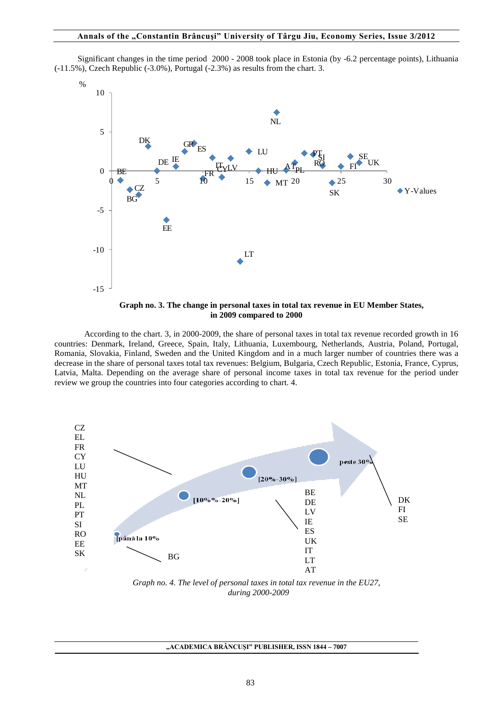Significant changes in the time period 2000 - 2008 took place in Estonia (by -6.2 percentage points), Lithuania (-11.5%), Czech Republic (-3.0%), Portugal (-2.3%) as results from the chart. 3.



**Graph no. 3. The change in personal taxes in total tax revenue in EU Member States, in 2009 compared to 2000**

According to the chart. 3, in 2000-2009, the share of personal taxes in total tax revenue recorded growth in 16 countries: Denmark, Ireland, Greece, Spain, Italy, Lithuania, Luxembourg, Netherlands, Austria, Poland, Portugal, Romania, Slovakia, Finland, Sweden and the United Kingdom and in a much larger number of countries there was a decrease in the share of personal taxes total tax revenues: Belgium, Bulgaria, Czech Republic, Estonia, France, Cyprus, Latvia, Malta. Depending on the average share of personal income taxes in total tax revenue for the period under review we group the countries into four categories according to chart. 4.



*Graph no. 4. The level of personal taxes in total tax revenue in the EU27, during 2000-2009*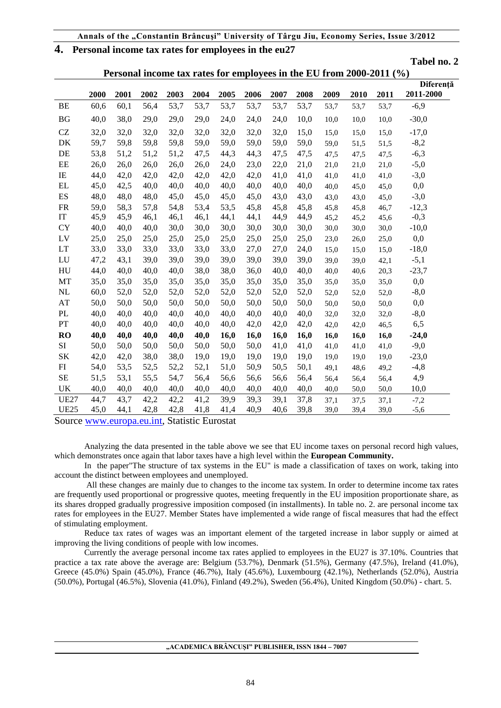## **4. Personal income tax rates for employees in the eu27**

**Tabel no. 2**

|                          | Personal income tax rates for employees in the EU from 2000-2011 (%) |      |      |      |      |      |      |      |      |      |      |      |           |
|--------------------------|----------------------------------------------------------------------|------|------|------|------|------|------|------|------|------|------|------|-----------|
|                          |                                                                      |      |      |      |      |      |      |      |      |      |      |      | Diferență |
|                          | 2000                                                                 | 2001 | 2002 | 2003 | 2004 | 2005 | 2006 | 2007 | 2008 | 2009 | 2010 | 2011 | 2011-2000 |
| BE                       | 60,6                                                                 | 60,1 | 56,4 | 53,7 | 53,7 | 53,7 | 53,7 | 53,7 | 53,7 | 53,7 | 53,7 | 53,7 | $-6,9$    |
| BG                       | 40,0                                                                 | 38,0 | 29,0 | 29,0 | 29,0 | 24,0 | 24,0 | 24,0 | 10,0 | 10,0 | 10,0 | 10,0 | $-30,0$   |
| CZ                       | 32,0                                                                 | 32,0 | 32,0 | 32,0 | 32,0 | 32,0 | 32,0 | 32,0 | 15,0 | 15,0 | 15,0 | 15,0 | $-17,0$   |
| DK                       | 59,7                                                                 | 59,8 | 59,8 | 59,8 | 59,0 | 59,0 | 59,0 | 59,0 | 59,0 | 59,0 | 51,5 | 51,5 | $-8,2$    |
| DE                       | 53,8                                                                 | 51,2 | 51,2 | 51,2 | 47,5 | 44,3 | 44,3 | 47,5 | 47,5 | 47,5 | 47,5 | 47,5 | $-6,3$    |
| EE                       | 26,0                                                                 | 26,0 | 26,0 | 26,0 | 26,0 | 24,0 | 23,0 | 22,0 | 21,0 | 21,0 | 21,0 | 21,0 | $-5,0$    |
| IE                       | 44,0                                                                 | 42,0 | 42,0 | 42,0 | 42,0 | 42,0 | 42,0 | 41,0 | 41,0 | 41,0 | 41,0 | 41,0 | $-3,0$    |
| <b>EL</b>                | 45,0                                                                 | 42,5 | 40,0 | 40,0 | 40,0 | 40,0 | 40,0 | 40,0 | 40,0 | 40,0 | 45,0 | 45,0 | 0,0       |
| $\mathop{\hbox{\rm ES}}$ | 48,0                                                                 | 48,0 | 48,0 | 45,0 | 45,0 | 45,0 | 45,0 | 43,0 | 43,0 | 43,0 | 43,0 | 45,0 | $-3,0$    |
| ${\sf FR}$               | 59,0                                                                 | 58,3 | 57,8 | 54,8 | 53,4 | 53,5 | 45,8 | 45,8 | 45,8 | 45,8 | 45,8 | 46,7 | $-12,3$   |
| IT                       | 45,9                                                                 | 45,9 | 46,1 | 46,1 | 46,1 | 44,1 | 44,1 | 44,9 | 44,9 | 45,2 | 45,2 | 45,6 | $-0,3$    |
| <b>CY</b>                | 40,0                                                                 | 40,0 | 40,0 | 30,0 | 30,0 | 30,0 | 30,0 | 30,0 | 30,0 | 30,0 | 30,0 | 30,0 | $-10,0$   |
| LV                       | 25,0                                                                 | 25,0 | 25,0 | 25,0 | 25,0 | 25,0 | 25,0 | 25,0 | 25,0 | 23,0 | 26,0 | 25,0 | 0,0       |
| LT                       | 33,0                                                                 | 33,0 | 33,0 | 33,0 | 33,0 | 33,0 | 27,0 | 27,0 | 24,0 | 15,0 | 15,0 | 15,0 | $-18,0$   |
| LU                       | 47,2                                                                 | 43,1 | 39,0 | 39,0 | 39,0 | 39,0 | 39,0 | 39,0 | 39,0 | 39,0 | 39,0 | 42,1 | $-5,1$    |
| HU                       | 44,0                                                                 | 40,0 | 40,0 | 40,0 | 38,0 | 38,0 | 36,0 | 40,0 | 40,0 | 40,0 | 40,6 | 20,3 | $-23,7$   |
| MT                       | 35,0                                                                 | 35,0 | 35,0 | 35,0 | 35,0 | 35,0 | 35,0 | 35,0 | 35,0 | 35,0 | 35,0 | 35,0 | 0,0       |
| NL                       | 60,0                                                                 | 52,0 | 52,0 | 52,0 | 52,0 | 52,0 | 52,0 | 52,0 | 52,0 | 52,0 | 52,0 | 52,0 | $-8,0$    |
| $\mathbf{A}\mathbf{T}$   | 50,0                                                                 | 50,0 | 50,0 | 50,0 | 50,0 | 50,0 | 50,0 | 50,0 | 50,0 | 50,0 | 50,0 | 50,0 | 0,0       |
| PL                       | 40,0                                                                 | 40,0 | 40,0 | 40,0 | 40,0 | 40,0 | 40,0 | 40,0 | 40,0 | 32,0 | 32,0 | 32,0 | $-8,0$    |
| PT                       | 40,0                                                                 | 40,0 | 40,0 | 40,0 | 40,0 | 40,0 | 42,0 | 42,0 | 42,0 | 42,0 | 42,0 | 46,5 | 6,5       |
| <b>RO</b>                | 40,0                                                                 | 40,0 | 40,0 | 40,0 | 40,0 | 16,0 | 16,0 | 16,0 | 16,0 | 16,0 | 16,0 | 16,0 | $-24,0$   |
| SI                       | 50,0                                                                 | 50,0 | 50,0 | 50,0 | 50,0 | 50,0 | 50,0 | 41,0 | 41,0 | 41,0 | 41,0 | 41,0 | $-9,0$    |
| $\rm SK$                 | 42,0                                                                 | 42,0 | 38,0 | 38,0 | 19,0 | 19,0 | 19,0 | 19,0 | 19,0 | 19,0 | 19,0 | 19,0 | $-23,0$   |
| FI                       | 54,0                                                                 | 53,5 | 52,5 | 52,2 | 52,1 | 51,0 | 50,9 | 50,5 | 50,1 | 49,1 | 48,6 | 49,2 | $-4,8$    |
| $\rm SE$                 | 51,5                                                                 | 53,1 | 55,5 | 54,7 | 56,4 | 56,6 | 56,6 | 56,6 | 56,4 | 56,4 | 56,4 | 56,4 | 4,9       |
| UK                       | 40,0                                                                 | 40,0 | 40,0 | 40,0 | 40,0 | 40,0 | 40,0 | 40,0 | 40,0 | 40,0 | 50,0 | 50,0 | 10,0      |
| <b>UE27</b>              | 44,7                                                                 | 43,7 | 42,2 | 42,2 | 41,2 | 39,9 | 39,3 | 39,1 | 37,8 | 37,1 | 37,5 | 37,1 | $-7,2$    |
| <b>UE25</b>              | 45,0                                                                 | 44,1 | 42,8 | 42,8 | 41,8 | 41,4 | 40,9 | 40,6 | 39,8 | 39,0 | 39,4 | 39,0 | $-5,6$    |

Source [www.europa.eu.int,](http://www.europa.eu.int/) Statistic Eurostat

Analyzing the data presented in the table above we see that EU income taxes on personal record high values, which demonstrates once again that labor taxes have a high level within the **European Community.**

In the paper"The structure of tax systems in the EU" is made a classification of taxes on work, taking into account the distinct between employees and unemployed.

All these changes are mainly due to changes to the income tax system. In order to determine income tax rates are frequently used proportional or progressive quotes, meeting frequently in the EU imposition proportionate share, as its shares dropped gradually progressive imposition composed (in installments). In table no. 2. are personal income tax rates for employees in the EU27. Member States have implemented a wide range of fiscal measures that had the effect of stimulating employment.

Reduce tax rates of wages was an important element of the targeted increase in labor supply or aimed at improving the living conditions of people with low incomes.

Currently the average personal income tax rates applied to employees in the EU27 is 37.10%. Countries that practice a tax rate above the average are: Belgium (53.7%), Denmark (51.5%), Germany (47.5%), Ireland (41.0%), Greece (45.0%) Spain (45.0%), France (46.7%), Italy (45.6%), Luxembourg (42.1%), Netherlands (52.0%), Austria (50.0%), Portugal (46.5%), Slovenia (41.0%), Finland (49.2%), Sweden (56.4%), United Kingdom (50.0%) - chart. 5.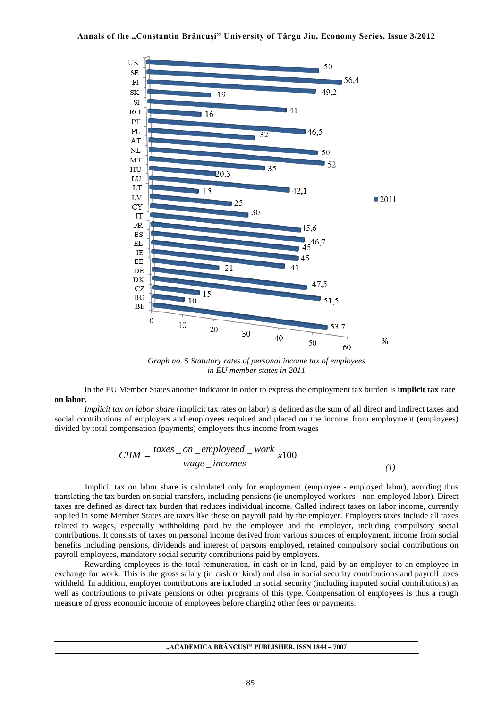

*Graph no. 5 Statutory rates of personal income tax of employees in EU member states in 2011*

In the EU Member States another indicator in order to express the employment tax burden is **implicit tax rate on labor.** 

*Implicit tax on labor share* (implicit tax rates on labor) is defined as the sum of all direct and indirect taxes and social contributions of employers and employees required and placed on the income from employment (employees) divided by total compensation (payments) employees thus income from wages

$$
C I I M = \frac{taxes\_on\_employed\_work}{wage\_incomes} x100
$$
\n(1)

Implicit tax on labor share is calculated only for employment (employee - employed labor), avoiding thus translating the tax burden on social transfers, including pensions (ie unemployed workers - non-employed labor). Direct taxes are defined as direct tax burden that reduces individual income. Called indirect taxes on labor income, currently applied in some Member States are taxes like those on payroll paid by the employer. Employers taxes include all taxes related to wages, especially withholding paid by the employee and the employer, including compulsory social contributions. It consists of taxes on personal income derived from various sources of employment, income from social benefits including pensions, dividends and interest of persons employed, retained compulsory social contributions on payroll employees, mandatory social security contributions paid by employers.

Rewarding employees is the total remuneration, in cash or in kind, paid by an employer to an employee in exchange for work. This is the gross salary (in cash or kind) and also in social security contributions and payroll taxes withheld. In addition, employer contributions are included in social security (including imputed social contributions) as well as contributions to private pensions or other programs of this type. Compensation of employees is thus a rough measure of gross economic income of employees before charging other fees or payments.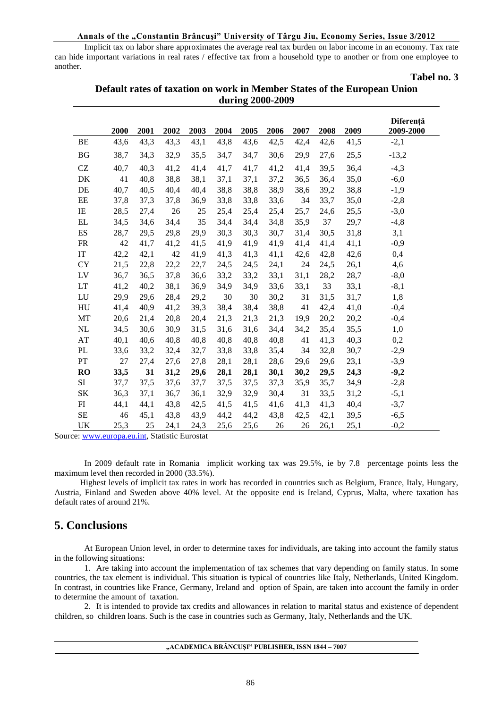#### **Annals of the "Constantin Brâncuşi" University of Târgu Jiu, Economy Series, Issue 3/2012**

Implicit tax on labor share approximates the average real tax burden on labor income in an economy. Tax rate can hide important variations in real rates / effective tax from a household type to another or from one employee to another.

#### **Tabel no. 3**

|           |      |      |      |      |      |      |      |      |      |      | Diferență |
|-----------|------|------|------|------|------|------|------|------|------|------|-----------|
|           | 2000 | 2001 | 2002 | 2003 | 2004 | 2005 | 2006 | 2007 | 2008 | 2009 | 2009-2000 |
| <b>BE</b> | 43,6 | 43,3 | 43,3 | 43,1 | 43,8 | 43,6 | 42,5 | 42,4 | 42,6 | 41,5 | $-2,1$    |
| <b>BG</b> | 38,7 | 34,3 | 32,9 | 35,5 | 34,7 | 34,7 | 30,6 | 29,9 | 27,6 | 25,5 | $-13,2$   |
| CZ        | 40,7 | 40,3 | 41,2 | 41,4 | 41,7 | 41,7 | 41,2 | 41,4 | 39,5 | 36,4 | $-4,3$    |
| DK        | 41   | 40,8 | 38,8 | 38,1 | 37,1 | 37,1 | 37,2 | 36,5 | 36,4 | 35,0 | $-6,0$    |
| DE        | 40,7 | 40,5 | 40,4 | 40,4 | 38,8 | 38,8 | 38,9 | 38,6 | 39,2 | 38,8 | $-1,9$    |
| EE        | 37,8 | 37,3 | 37,8 | 36,9 | 33,8 | 33,8 | 33,6 | 34   | 33,7 | 35,0 | $-2,8$    |
| IE        | 28,5 | 27,4 | 26   | 25   | 25,4 | 25,4 | 25,4 | 25,7 | 24,6 | 25,5 | $-3,0$    |
| EL        | 34,5 | 34,6 | 34,4 | 35   | 34,4 | 34,4 | 34,8 | 35,9 | 37   | 29,7 | $-4,8$    |
| ES        | 28,7 | 29,5 | 29,8 | 29,9 | 30,3 | 30,3 | 30,7 | 31,4 | 30,5 | 31,8 | 3,1       |
| <b>FR</b> | 42   | 41,7 | 41,2 | 41,5 | 41,9 | 41,9 | 41,9 | 41,4 | 41,4 | 41,1 | $-0,9$    |
| IT        | 42,2 | 42,1 | 42   | 41,9 | 41,3 | 41,3 | 41,1 | 42,6 | 42,8 | 42,6 | 0,4       |
| <b>CY</b> | 21,5 | 22,8 | 22,2 | 22,7 | 24,5 | 24,5 | 24,1 | 24   | 24,5 | 26,1 | 4,6       |
| LV        | 36,7 | 36,5 | 37,8 | 36,6 | 33,2 | 33,2 | 33,1 | 31,1 | 28,2 | 28,7 | $-8,0$    |
| LT        | 41,2 | 40,2 | 38,1 | 36,9 | 34,9 | 34,9 | 33,6 | 33,1 | 33   | 33,1 | $-8,1$    |
| LU        | 29,9 | 29,6 | 28,4 | 29,2 | 30   | 30   | 30,2 | 31   | 31,5 | 31,7 | 1,8       |
| HU        | 41,4 | 40,9 | 41,2 | 39,3 | 38,4 | 38,4 | 38,8 | 41   | 42,4 | 41,0 | $-0,4$    |
| MT        | 20,6 | 21,4 | 20,8 | 20,4 | 21,3 | 21,3 | 21,3 | 19,9 | 20,2 | 20,2 | $-0,4$    |
| NL        | 34,5 | 30,6 | 30,9 | 31,5 | 31,6 | 31,6 | 34,4 | 34,2 | 35,4 | 35,5 | 1,0       |
| AT        | 40,1 | 40,6 | 40,8 | 40,8 | 40,8 | 40,8 | 40,8 | 41   | 41,3 | 40,3 | 0,2       |
| PL        | 33,6 | 33,2 | 32,4 | 32,7 | 33,8 | 33,8 | 35,4 | 34   | 32,8 | 30,7 | $-2,9$    |
| PT        | 27   | 27,4 | 27,6 | 27,8 | 28,1 | 28,1 | 28,6 | 29,6 | 29,6 | 23,1 | $-3,9$    |
| <b>RO</b> | 33,5 | 31   | 31,2 | 29,6 | 28,1 | 28,1 | 30,1 | 30,2 | 29,5 | 24,3 | $-9,2$    |
| SI        | 37,7 | 37,5 | 37,6 | 37,7 | 37,5 | 37,5 | 37,3 | 35,9 | 35,7 | 34,9 | $-2,8$    |
| <b>SK</b> | 36,3 | 37,1 | 36,7 | 36,1 | 32,9 | 32,9 | 30,4 | 31   | 33,5 | 31,2 | $-5,1$    |
| FI        | 44,1 | 44,1 | 43,8 | 42,5 | 41,5 | 41,5 | 41,6 | 41,3 | 41,3 | 40,4 | $-3,7$    |
| <b>SE</b> | 46   | 45,1 | 43,8 | 43,9 | 44,2 | 44,2 | 43,8 | 42,5 | 42,1 | 39,5 | $-6,5$    |
| <b>UK</b> | 25,3 | 25   | 24,1 | 24,3 | 25,6 | 25,6 | 26   | 26   | 26,1 | 25,1 | $-0,2$    |

## **Default rates of taxation on work in Member States of the European Union during 2000-2009**

Source: [www.europa.eu.int,](http://www.europa.eu.int/) Statistic Eurostat

In 2009 default rate in Romania implicit working tax was 29.5%, ie by 7.8 percentage points less the maximum level then recorded in 2000 (33.5%).

 Highest levels of implicit tax rates in work has recorded in countries such as Belgium, France, Italy, Hungary, Austria, Finland and Sweden above 40% level. At the opposite end is Ireland, Cyprus, Malta, where taxation has default rates of around 21%.

## **5. Conclusions**

At European Union level, in order to determine taxes for individuals, are taking into account the family status in the following situations:

1. Are taking into account the implementation of tax schemes that vary depending on family status. In some countries, the tax element is individual. This situation is typical of countries like Italy, Netherlands, United Kingdom. In contrast, in countries like France, Germany, Ireland and option of Spain, are taken into account the family in order to determine the amount of taxation.

2. It is intended to provide tax credits and allowances in relation to marital status and existence of dependent children, so children loans. Such is the case in countries such as Germany, Italy, Netherlands and the UK.